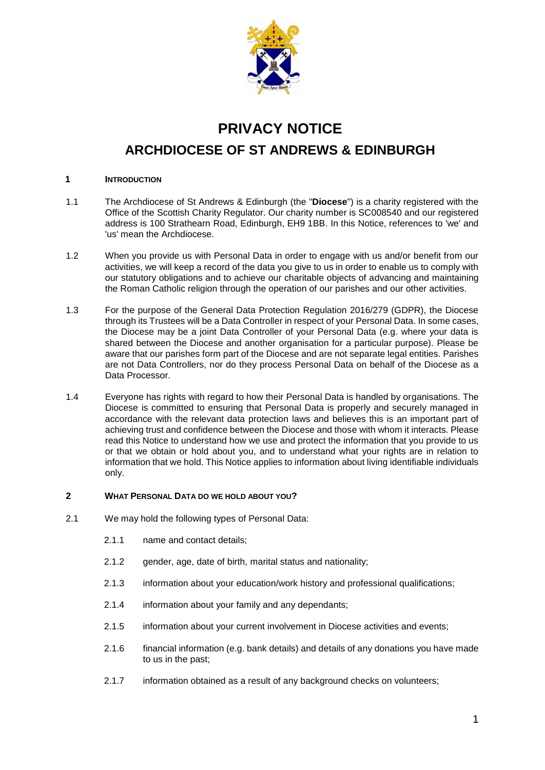

# **PRIVACY NOTICE**

**ARCHDIOCESE OF ST ANDREWS & EDINBURGH**

# **1 INTRODUCTION**

- 1.1 The Archdiocese of St Andrews & Edinburgh (the "**Diocese**") is a charity registered with the Office of the Scottish Charity Regulator. Our charity number is SC008540 and our registered address is 100 Strathearn Road, Edinburgh, EH9 1BB. In this Notice, references to 'we' and 'us' mean the Archdiocese.
- 1.2 When you provide us with Personal Data in order to engage with us and/or benefit from our activities, we will keep a record of the data you give to us in order to enable us to comply with our statutory obligations and to achieve our charitable objects of advancing and maintaining the Roman Catholic religion through the operation of our parishes and our other activities.
- 1.3 For the purpose of the General Data Protection Regulation 2016/279 (GDPR), the Diocese through its Trustees will be a Data Controller in respect of your Personal Data. In some cases, the Diocese may be a joint Data Controller of your Personal Data (e.g. where your data is shared between the Diocese and another organisation for a particular purpose). Please be aware that our parishes form part of the Diocese and are not separate legal entities. Parishes are not Data Controllers, nor do they process Personal Data on behalf of the Diocese as a Data Processor.
- 1.4 Everyone has rights with regard to how their Personal Data is handled by organisations. The Diocese is committed to ensuring that Personal Data is properly and securely managed in accordance with the relevant data protection laws and believes this is an important part of achieving trust and confidence between the Diocese and those with whom it interacts. Please read this Notice to understand how we use and protect the information that you provide to us or that we obtain or hold about you, and to understand what your rights are in relation to information that we hold. This Notice applies to information about living identifiable individuals only.

# **2 WHAT PERSONAL DATA DO WE HOLD ABOUT YOU?**

- 2.1 We may hold the following types of Personal Data:
	- 2.1.1 name and contact details;
	- 2.1.2 gender, age, date of birth, marital status and nationality;
	- 2.1.3 information about your education/work history and professional qualifications;
	- 2.1.4 information about your family and any dependants;
	- 2.1.5 information about your current involvement in Diocese activities and events;
	- 2.1.6 financial information (e.g. bank details) and details of any donations you have made to us in the past;
	- 2.1.7 information obtained as a result of any background checks on volunteers;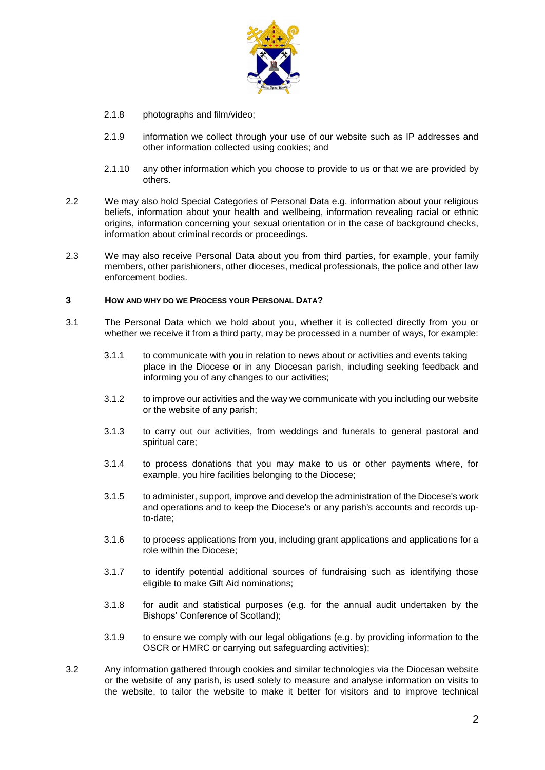

- 2.1.8 photographs and film/video;
- 2.1.9 information we collect through your use of our website such as IP addresses and other information collected using cookies; and
- 2.1.10 any other information which you choose to provide to us or that we are provided by others.
- 2.2 We may also hold Special Categories of Personal Data e.g. information about your religious beliefs, information about your health and wellbeing, information revealing racial or ethnic origins, information concerning your sexual orientation or in the case of background checks, information about criminal records or proceedings.
- 2.3 We may also receive Personal Data about you from third parties, for example, your family members, other parishioners, other dioceses, medical professionals, the police and other law enforcement bodies.

#### **3 HOW AND WHY DO WE PROCESS YOUR PERSONAL DATA?**

- 3.1 The Personal Data which we hold about you, whether it is collected directly from you or whether we receive it from a third party, may be processed in a number of ways, for example:
	- 3.1.1 to communicate with you in relation to news about or activities and events taking place in the Diocese or in any Diocesan parish, including seeking feedback and informing you of any changes to our activities;
	- 3.1.2 to improve our activities and the way we communicate with you including our website or the website of any parish;
	- 3.1.3 to carry out our activities, from weddings and funerals to general pastoral and spiritual care;
	- 3.1.4 to process donations that you may make to us or other payments where, for example, you hire facilities belonging to the Diocese;
	- 3.1.5 to administer, support, improve and develop the administration of the Diocese's work and operations and to keep the Diocese's or any parish's accounts and records upto-date;
	- 3.1.6 to process applications from you, including grant applications and applications for a role within the Diocese;
	- 3.1.7 to identify potential additional sources of fundraising such as identifying those eligible to make Gift Aid nominations;
	- 3.1.8 for audit and statistical purposes (e.g. for the annual audit undertaken by the Bishops' Conference of Scotland);
	- 3.1.9 to ensure we comply with our legal obligations (e.g. by providing information to the OSCR or HMRC or carrying out safeguarding activities);
- 3.2 Any information gathered through cookies and similar technologies via the Diocesan website or the website of any parish, is used solely to measure and analyse information on visits to the website, to tailor the website to make it better for visitors and to improve technical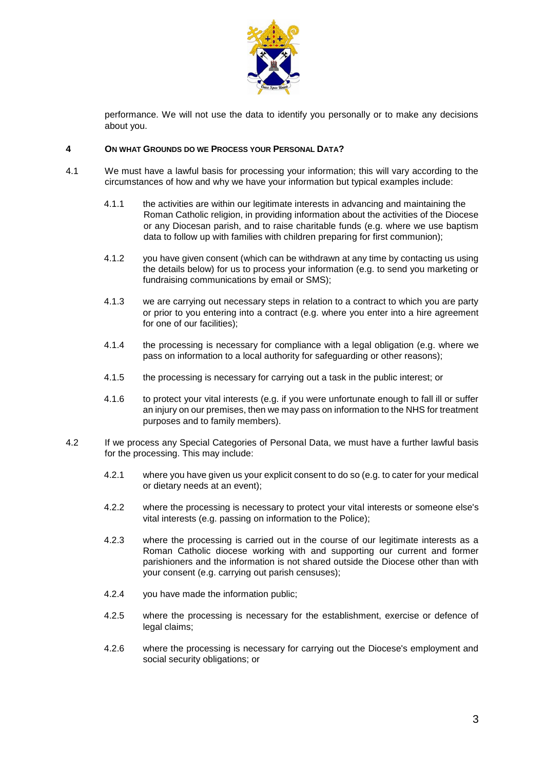

performance. We will not use the data to identify you personally or to make any decisions about you.

## **4 ON WHAT GROUNDS DO WE PROCESS YOUR PERSONAL DATA?**

- 4.1 We must have a lawful basis for processing your information; this will vary according to the circumstances of how and why we have your information but typical examples include:
	- 4.1.1 the activities are within our legitimate interests in advancing and maintaining the Roman Catholic religion, in providing information about the activities of the Diocese or any Diocesan parish, and to raise charitable funds (e.g. where we use baptism data to follow up with families with children preparing for first communion);
	- 4.1.2 you have given consent (which can be withdrawn at any time by contacting us using the details below) for us to process your information (e.g. to send you marketing or fundraising communications by email or SMS);
	- 4.1.3 we are carrying out necessary steps in relation to a contract to which you are party or prior to you entering into a contract (e.g. where you enter into a hire agreement for one of our facilities);
	- 4.1.4 the processing is necessary for compliance with a legal obligation (e.g. where we pass on information to a local authority for safeguarding or other reasons);
	- 4.1.5 the processing is necessary for carrying out a task in the public interest; or
	- 4.1.6 to protect your vital interests (e.g. if you were unfortunate enough to fall ill or suffer an injury on our premises, then we may pass on information to the NHS for treatment purposes and to family members).
- 4.2 If we process any Special Categories of Personal Data, we must have a further lawful basis for the processing. This may include:
	- 4.2.1 where you have given us your explicit consent to do so (e.g. to cater for your medical or dietary needs at an event);
	- 4.2.2 where the processing is necessary to protect your vital interests or someone else's vital interests (e.g. passing on information to the Police);
	- 4.2.3 where the processing is carried out in the course of our legitimate interests as a Roman Catholic diocese working with and supporting our current and former parishioners and the information is not shared outside the Diocese other than with your consent (e.g. carrying out parish censuses);
	- 4.2.4 you have made the information public;
	- 4.2.5 where the processing is necessary for the establishment, exercise or defence of legal claims;
	- 4.2.6 where the processing is necessary for carrying out the Diocese's employment and social security obligations; or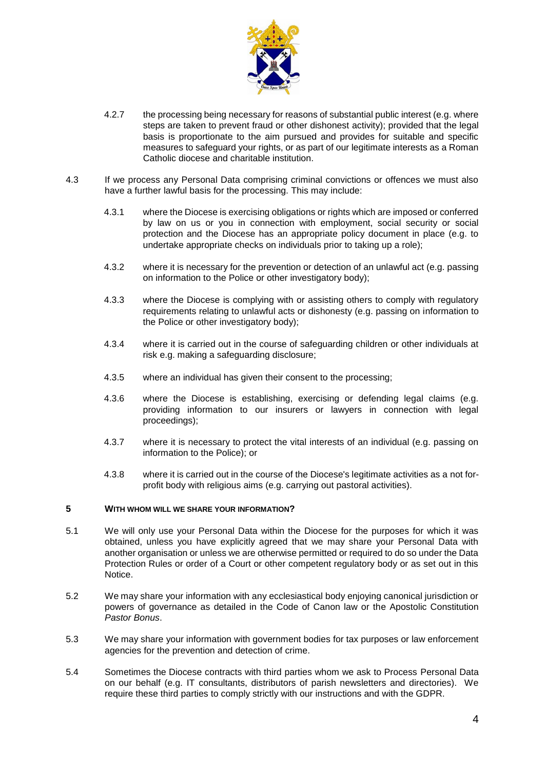

- 4.2.7 the processing being necessary for reasons of substantial public interest (e.g. where steps are taken to prevent fraud or other dishonest activity); provided that the legal basis is proportionate to the aim pursued and provides for suitable and specific measures to safeguard your rights, or as part of our legitimate interests as a Roman Catholic diocese and charitable institution.
- 4.3 If we process any Personal Data comprising criminal convictions or offences we must also have a further lawful basis for the processing. This may include:
	- 4.3.1 where the Diocese is exercising obligations or rights which are imposed or conferred by law on us or you in connection with employment, social security or social protection and the Diocese has an appropriate policy document in place (e.g. to undertake appropriate checks on individuals prior to taking up a role);
	- 4.3.2 where it is necessary for the prevention or detection of an unlawful act (e.g. passing on information to the Police or other investigatory body);
	- 4.3.3 where the Diocese is complying with or assisting others to comply with regulatory requirements relating to unlawful acts or dishonesty (e.g. passing on information to the Police or other investigatory body);
	- 4.3.4 where it is carried out in the course of safeguarding children or other individuals at risk e.g. making a safeguarding disclosure;
	- 4.3.5 where an individual has given their consent to the processing;
	- 4.3.6 where the Diocese is establishing, exercising or defending legal claims (e.g. providing information to our insurers or lawyers in connection with legal proceedings);
	- 4.3.7 where it is necessary to protect the vital interests of an individual (e.g. passing on information to the Police); or
	- 4.3.8 where it is carried out in the course of the Diocese's legitimate activities as a not forprofit body with religious aims (e.g. carrying out pastoral activities).

# **5 WITH WHOM WILL WE SHARE YOUR INFORMATION?**

- 5.1 We will only use your Personal Data within the Diocese for the purposes for which it was obtained, unless you have explicitly agreed that we may share your Personal Data with another organisation or unless we are otherwise permitted or required to do so under the Data Protection Rules or order of a Court or other competent regulatory body or as set out in this Notice.
- 5.2 We may share your information with any ecclesiastical body enjoying canonical jurisdiction or powers of governance as detailed in the Code of Canon law or the Apostolic Constitution *Pastor Bonus*.
- 5.3 We may share your information with government bodies for tax purposes or law enforcement agencies for the prevention and detection of crime.
- 5.4 Sometimes the Diocese contracts with third parties whom we ask to Process Personal Data on our behalf (e.g. IT consultants, distributors of parish newsletters and directories). We require these third parties to comply strictly with our instructions and with the GDPR.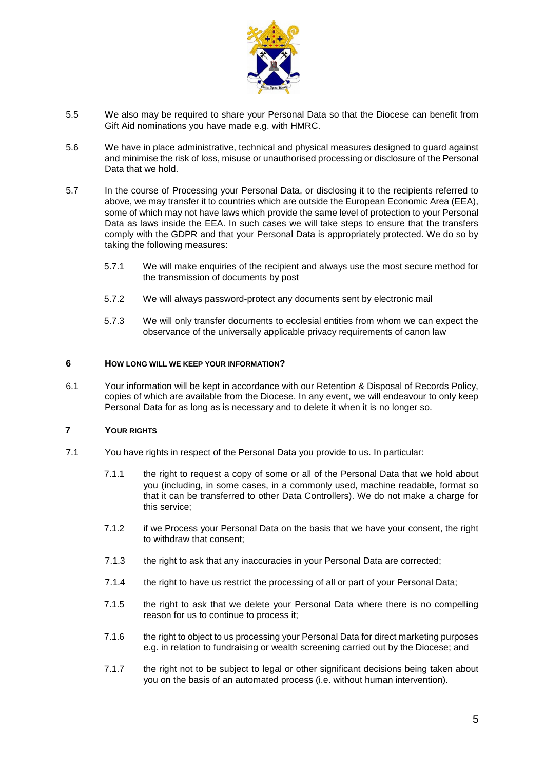

- 5.5 We also may be required to share your Personal Data so that the Diocese can benefit from Gift Aid nominations you have made e.g. with HMRC.
- 5.6 We have in place administrative, technical and physical measures designed to guard against and minimise the risk of loss, misuse or unauthorised processing or disclosure of the Personal Data that we hold.
- 5.7 In the course of Processing your Personal Data, or disclosing it to the recipients referred to above, we may transfer it to countries which are outside the European Economic Area (EEA), some of which may not have laws which provide the same level of protection to your Personal Data as laws inside the EEA. In such cases we will take steps to ensure that the transfers comply with the GDPR and that your Personal Data is appropriately protected. We do so by taking the following measures:
	- 5.7.1 We will make enquiries of the recipient and always use the most secure method for the transmission of documents by post
	- 5.7.2 We will always password-protect any documents sent by electronic mail
	- 5.7.3 We will only transfer documents to ecclesial entities from whom we can expect the observance of the universally applicable privacy requirements of canon law

## **6 HOW LONG WILL WE KEEP YOUR INFORMATION?**

6.1 Your information will be kept in accordance with our Retention & Disposal of Records Policy, copies of which are available from the Diocese. In any event, we will endeavour to only keep Personal Data for as long as is necessary and to delete it when it is no longer so.

#### **7 YOUR RIGHTS**

- 7.1 You have rights in respect of the Personal Data you provide to us. In particular:
	- 7.1.1 the right to request a copy of some or all of the Personal Data that we hold about you (including, in some cases, in a commonly used, machine readable, format so that it can be transferred to other Data Controllers). We do not make a charge for this service;
	- 7.1.2 if we Process your Personal Data on the basis that we have your consent, the right to withdraw that consent;
	- 7.1.3 the right to ask that any inaccuracies in your Personal Data are corrected;
	- 7.1.4 the right to have us restrict the processing of all or part of your Personal Data;
	- 7.1.5 the right to ask that we delete your Personal Data where there is no compelling reason for us to continue to process it;
	- 7.1.6 the right to object to us processing your Personal Data for direct marketing purposes e.g. in relation to fundraising or wealth screening carried out by the Diocese; and
	- 7.1.7 the right not to be subject to legal or other significant decisions being taken about you on the basis of an automated process (i.e. without human intervention).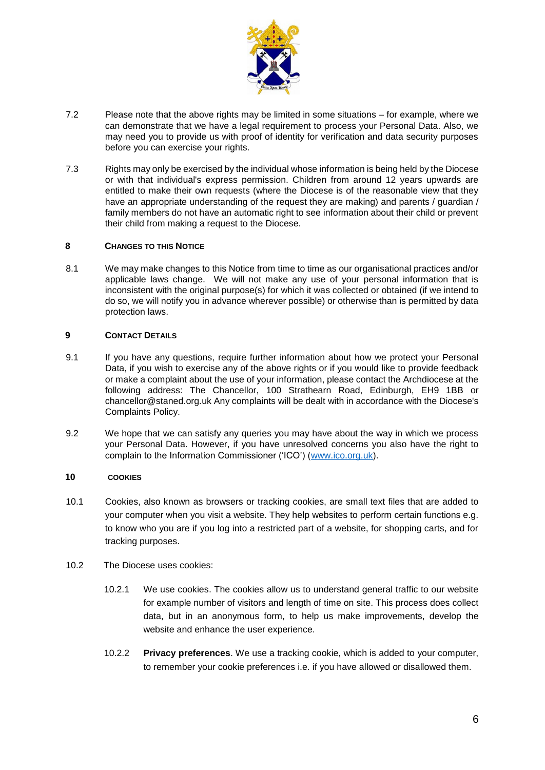

- 7.2 Please note that the above rights may be limited in some situations for example, where we can demonstrate that we have a legal requirement to process your Personal Data. Also, we may need you to provide us with proof of identity for verification and data security purposes before you can exercise your rights.
- 7.3 Rights may only be exercised by the individual whose information is being held by the Diocese or with that individual's express permission. Children from around 12 years upwards are entitled to make their own requests (where the Diocese is of the reasonable view that they have an appropriate understanding of the request they are making) and parents / guardian / family members do not have an automatic right to see information about their child or prevent their child from making a request to the Diocese.

# **8 CHANGES TO THIS NOTICE**

8.1 We may make changes to this Notice from time to time as our organisational practices and/or applicable laws change. We will not make any use of your personal information that is inconsistent with the original purpose(s) for which it was collected or obtained (if we intend to do so, we will notify you in advance wherever possible) or otherwise than is permitted by data protection laws.

# **9 CONTACT DETAILS**

- 9.1 If you have any questions, require further information about how we protect your Personal Data, if you wish to exercise any of the above rights or if you would like to provide feedback or make a complaint about the use of your information, please contact the Archdiocese at the following address: The Chancellor, 100 Strathearn Road, Edinburgh, EH9 1BB or chancellor@staned.org.uk Any complaints will be dealt with in accordance with the Diocese's Complaints Policy.
- 9.2 We hope that we can satisfy any queries you may have about the way in which we process your Personal Data. However, if you have unresolved concerns you also have the right to complain to the Information Commissioner ('ICO') [\(www.ico.org.uk\).](http://www.ico.org.uk/)

# **10 COOKIES**

- 10.1 Cookies, also known as browsers or tracking cookies, are small text files that are added to your computer when you visit a website. They help websites to perform certain functions e.g. to know who you are if you log into a restricted part of a website, for shopping carts, and for tracking purposes.
- 10.2 The Diocese uses cookies:
	- 10.2.1 We use cookies. The cookies allow us to understand general traffic to our website for example number of visitors and length of time on site. This process does collect data, but in an anonymous form, to help us make improvements, develop the website and enhance the user experience.
	- 10.2.2 **Privacy preferences**. We use a tracking cookie, which is added to your computer, to remember your cookie preferences i.e. if you have allowed or disallowed them.